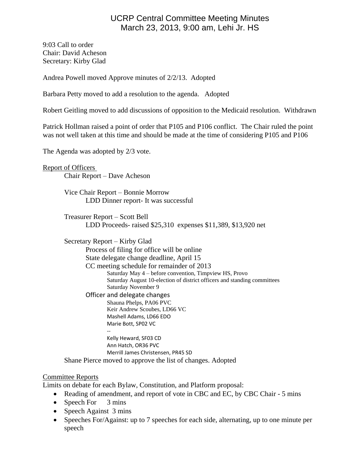# UCRP Central Committee Meeting Minutes March 23, 2013, 9:00 am, Lehi Jr. HS

9:03 Call to order Chair: David Acheson Secretary: Kirby Glad

Andrea Powell moved Approve minutes of 2/2/13. Adopted

Barbara Petty moved to add a resolution to the agenda. Adopted

Robert Geitling moved to add discussions of opposition to the Medicaid resolution. Withdrawn

Patrick Hollman raised a point of order that P105 and P106 conflict. The Chair ruled the point was not well taken at this time and should be made at the time of considering P105 and P106

The Agenda was adopted by 2/3 vote.

Report of Officers Chair Report – Dave Acheson

> Vice Chair Report – Bonnie Morrow LDD Dinner report- It was successful

Treasurer Report – Scott Bell LDD Proceeds- raised \$25,310 expenses \$11,389, \$13,920 net

Secretary Report – Kirby Glad

Process of filing for office will be online State delegate change deadline, April 15 CC meeting schedule for remainder of 2013

Saturday May 4 – before convention, Timpview HS, Provo Saturday August 10-election of district officers and standing committees Saturday November 9

Officer and delegate changes

Shauna Phelps, PA06 PVC Keir Andrew Scoubes, LD66 VC Mashell Adams, LD66 EDO Marie Bott, SP02 VC

--

Kelly Heward, SF03 CD Ann Hatch, OR36 PVC Merrill James Christensen, PR45 SD

Shane Pierce moved to approve the list of changes. Adopted

## Committee Reports

Limits on debate for each Bylaw, Constitution, and Platform proposal:

- Reading of amendment, and report of vote in CBC and EC, by CBC Chair 5 mins
- Speech For  $3 \text{ mins}$
- Speech Against 3 mins
- Speeches For/Against: up to 7 speeches for each side, alternating, up to one minute per speech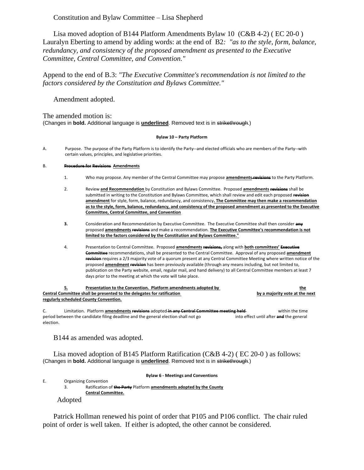### Constitution and Bylaw Committee – Lisa Shepherd

Lisa moved adoption of B144 Platform Amendments Bylaw 10 (C&B 4-2) ( EC 20-0 ) Lauralyn Eberting to amend by adding words: at the end of B2*: "as to the style, form, balance, redundancy, and consistency of the proposed amendment as presented to the Executive Committee, Central Committee, and Convention."*

Append to the end of B.3: *"The Executive Committee's recommendation is not limited to the factors considered by the Constitution and Bylaws Committee."*

Amendment adopted.

The amended motion is: (Changes in **bold.** Additional language is **underlined**. Removed text is in strikethrough.)

### **Bylaw 10 – Party Platform**

A. Purpose. The purpose of the Party Platform is to identify the Party--and elected officials who are members of the Party--with certain values, principles, and legislative priorities.

### B. **Procedure for Revisions Amendments**

- 1. Who may propose. Any member of the Central Committee may propose **amendments revisions** to the Party Platform.
- 2. Review **and Recommendation** by Constitution and Bylaws Committee. Proposed **amendments revisions** shall be submitted in writing to the Constitution and Bylaws Committee, which shall review and edit each proposed **revision amendment** for style, form, balance, redundancy, and consistency**. The Committee may then make a recommendation as to the style, form, balance, redundancy, and consistency of the proposed amendment as presented to the Executive Committee, Central Committee, and Convention**
- **3.** Consideration and Recommendation by Executive Committee. The Executive Committee shall then consider **any** proposed **amendments revisions** and make a recommendation. **The Executive Committee's recommendation is not limited to the factors considered by the Constitution and Bylaws Committee."**
- 4. Presentation to Central Committee. Proposed **amendments revisions,** along with **both committees' Executive Committee** recommendations, shall be presented to the Central Committee. Approval of any proposed **amendment revision** requires a 2/3 majority vote of a quorum present at any Central Committee Meeting where written notice of the proposed **amendment revision** has been previously available (through any means including, but not limited to, publication on the Party website, email, regular mail, and hand delivery) to all Central Committee members at least 7 days prior to the meeting at which the vote will take place.

| ь.                                                                     | Presentation to the Convention. Platform amendments adopted by | the                            |
|------------------------------------------------------------------------|----------------------------------------------------------------|--------------------------------|
| Central Committee shall be presented to the delegates for ratification |                                                                | by a majority vote at the next |
| regularly scheduled County Convention.                                 |                                                                |                                |
|                                                                        |                                                                |                                |

C. Limitation. Platform **amendments revisions** adopted **in any Central Committee meeting held** within the time period between the candidate filing deadline and the general election shall not go into effect until after **and** the general election.

B144 as amended was adopted.

Lisa moved adoption of B145 Platform Ratification (C&B 4-2) ( EC 20-0 ) as follows: (Changes in **bold.** Additional language is **underlined**. Removed text is in strikethrough.)

**Bylaw 6 - Meetings and Conventions**

E. Organizing Convention

3. Ratification of **the Party** Platform **amendments adopted by the County Central Committee.**

Adopted

Patrick Hollman renewed his point of order that P105 and P106 conflict. The chair ruled point of order is well taken. If either is adopted, the other cannot be considered.